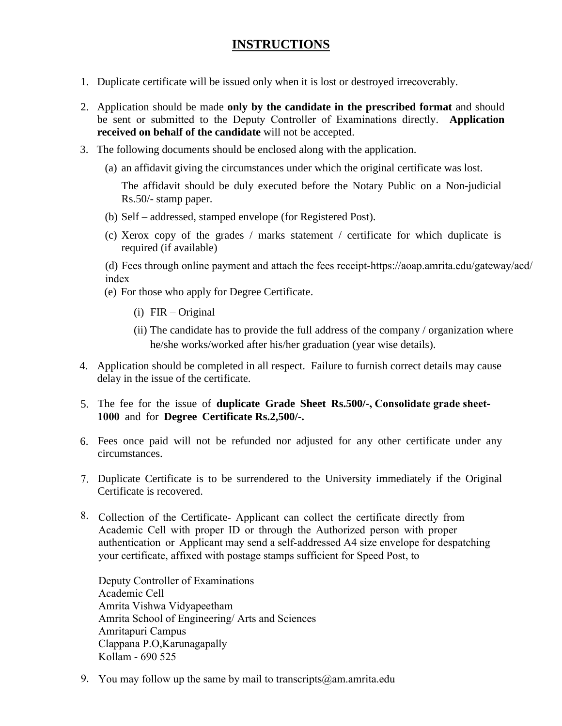## **INSTRUCTIONS**

- 1. Duplicate certificate will be issued only when it is lost or destroyed irrecoverably.
- 2. Application should be made **only by the candidate in the prescribed format** and should be sent or submitted to the Deputy Controller of Examinations directly. **Application received on behalf of the candidate** will not be accepted.
- 3. The following documents should be enclosed along with the application.
	- (a) an affidavit giving the circumstances under which the original certificate was lost.

The affidavit should be duly executed before the Notary Public on a Non-judicial Rs.50/- stamp paper.

- (b) Self addressed, stamped envelope (for Registered Post).
- (c) Xerox copy of the grades / marks statement / certificate for which duplicate is required (if available)

(d) Fees through online payment and attach the fees receipt-https://aoap.amrita.edu/gateway/acd/ index

- (e) For those who apply for Degree Certificate.
	- (i) FIR Original
	- (ii) The candidate has to provide the full address of the company / organization where he/she works/worked after his/her graduation (year wise details).
- 4. Application should be completed in all respect. Failure to furnish correct details may cause delay in the issue of the certificate.
- 5. The fee for the issue of **duplicate Grade Sheet Rs.500/-, Consolidate grade sheet-1000** and for **Degree Certificate Rs.2,500/-.**
- 6. Fees once paid will not be refunded nor adjusted for any other certificate under any circumstances.
- 7. Duplicate Certificate is to be surrendered to the University immediately if the Original Certificate is recovered.
- 8. Collection of the Certificate- Applicant can collect the certificate directly from Academic Cell with proper ID or through the Authorized person with proper authentication or Applicant may send a self-addressed A4 size envelope for despatching your certificate, affixed with postage stamps sufficient for Speed Post, to

Deputy Controller of Examinations Academic Cell Amrita Vishwa Vidyapeetham Amrita School of Engineering/ Arts and Sciences Amritapuri Campus Clappana P.O,Karunagapally Kollam - 690 525

9. You may follow up the same by mail to transcripts  $@$  am amrita.edu